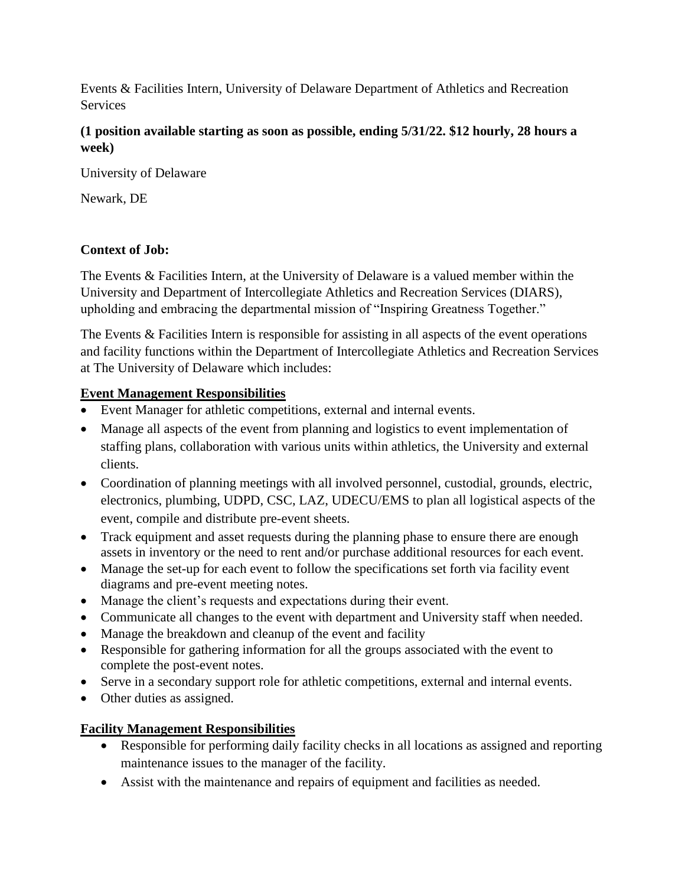Events & Facilities Intern, University of Delaware Department of Athletics and Recreation Services

## **(1 position available starting as soon as possible, ending 5/31/22. \$12 hourly, 28 hours a week)**

University of Delaware

Newark, DE

## **Context of Job:**

The Events & Facilities Intern, at the University of Delaware is a valued member within the University and Department of Intercollegiate Athletics and Recreation Services (DIARS), upholding and embracing the departmental mission of "Inspiring Greatness Together."

The Events & Facilities Intern is responsible for assisting in all aspects of the event operations and facility functions within the Department of Intercollegiate Athletics and Recreation Services at The University of Delaware which includes:

## **Event Management Responsibilities**

- Event Manager for athletic competitions, external and internal events.
- Manage all aspects of the event from planning and logistics to event implementation of staffing plans, collaboration with various units within athletics, the University and external clients.
- Coordination of planning meetings with all involved personnel, custodial, grounds, electric, electronics, plumbing, UDPD, CSC, LAZ, UDECU/EMS to plan all logistical aspects of the event, compile and distribute pre-event sheets.
- Track equipment and asset requests during the planning phase to ensure there are enough assets in inventory or the need to rent and/or purchase additional resources for each event.
- Manage the set-up for each event to follow the specifications set forth via facility event diagrams and pre-event meeting notes.
- Manage the client's requests and expectations during their event.
- Communicate all changes to the event with department and University staff when needed.
- Manage the breakdown and cleanup of the event and facility
- Responsible for gathering information for all the groups associated with the event to complete the post-event notes.
- Serve in a secondary support role for athletic competitions, external and internal events.
- Other duties as assigned.

# **Facility Management Responsibilities**

- Responsible for performing daily facility checks in all locations as assigned and reporting maintenance issues to the manager of the facility.
- Assist with the maintenance and repairs of equipment and facilities as needed.